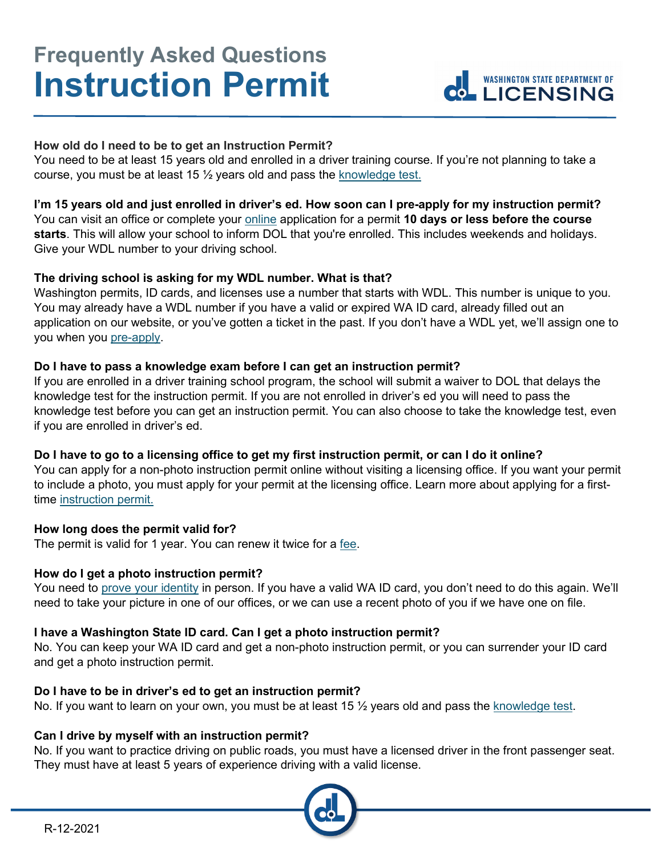# **Frequently Asked Questions Instruction Permit**



# **How old do I need to be to get an Instruction Permit?**

You need to be at least 15 years old and enrolled in a driver training course. If you're not planning to take a course, you must be at least 15 ½ years old and pass the [knowledge test.](https://www.dol.wa.gov/driverslicense/writtentest.html)

# **I'm 15 years old and just enrolled in driver's ed. How soon can I pre-apply for my instruction permit?**

You can visit an office or complete your **online** application for a permit 10 days or less before the course **starts**. This will allow your school to inform DOL that you're enrolled. This includes weekends and holidays. Give your WDL number to your driving school.

# **The driving school is asking for my WDL number. What is that?**

Washington permits, ID cards, and licenses use a number that starts with WDL. This number is unique to you. You may already have a WDL number if you have a valid or expired WA ID card, already filled out an application on our website, or you've gotten a ticket in the past. If you don't have a WDL yet, we'll assign one to you when you [pre-apply.](https://www.dol.wa.gov/driverslicense/preapply.html)

## **Do I have to pass a knowledge exam before I can get an instruction permit?**

If you are enrolled in a driver training school program, the school will submit a waiver to DOL that delays the knowledge test for the instruction permit. If you are not enrolled in driver's ed you will need to pass the knowledge test before you can get an instruction permit. You can also choose to take the knowledge test, even if you are enrolled in driver's ed.

# **Do I have to go to a licensing office to get my first instruction permit, or can I do it online?**

You can apply for a non-photo instruction permit online without visiting a licensing office. If you want your permit to include a photo, you must apply for your permit at the licensing office. Learn more about applying for a firsttime [instruction permit.](https://www.dol.wa.gov/driverslicense/getpermit.html)

# **How long does the permit valid for?**

The permit is valid for 1 year. You can renew it twice for a [fee.](https://www.dol.wa.gov/driverslicense/fees.html)

# **How do I get a photo instruction permit?**

You need to [prove your identity](https://www.dol.wa.gov/driverslicense/idproof.html) in person. If you have a valid WA ID card, you don't need to do this again. We'll need to take your picture in one of our offices, or we can use a recent photo of you if we have one on file.

# **I have a Washington State ID card. Can I get a photo instruction permit?**

No. You can keep your WA ID card and get a non-photo instruction permit, or you can surrender your ID card and get a photo instruction permit.

#### **Do I have to be in driver's ed to get an instruction permit?**

No. If you want to learn on your own, you must be at least 15  $\frac{1}{2}$  years old and pass the [knowledge test.](https://www.dol.wa.gov/driverslicense/writtentest.html)

#### **Can I drive by myself with an instruction permit?**

No. If you want to practice driving on public roads, you must have a licensed driver in the front passenger seat. They must have at least 5 years of experience driving with a valid license.